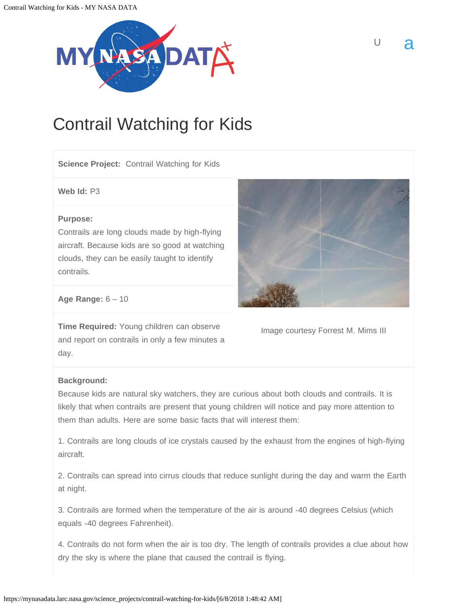<span id="page-0-0"></span>

# Contrail Watching for Kids

**Science Project:** [Contrail](https://mynasadata.larc.nasa.gov/glossary/contrail-2/) Watching for Kids

**Web Id:** P3

#### **Purpose:**

Contrails are long clouds made by high-flying aircraft. Because kids are so good at watching clouds, they can be easily taught to identify contrails.



 $\cup$  a

**Age Range:** 6 – 10

**Time Required:** Young children can observe and report on contrails in only a few minutes a day.

Image courtesy Forrest [M](https://mynasadata.larc.nasa.gov/glossary/meters-2/). Mims III

### **Background:**

Because kids are natural sky watchers, they are curious about both clouds and contrails. It is likely that when contrails are present that young children will notice and pay more attention to them than adults. Here are some basic facts that will interest them:

1. Contrails are long clouds of ice crystals caused by the exhaust from the engines of high-flying aircraft.

2. Contrails can spread into cirrus clouds that reduce sunlight during the day and warm the Earth at night.

3. Contrails are formed when the [temperature](https://mynasadata.larc.nasa.gov/glossary/temperature-2/) of the air is around -40 degrees [Celsius](https://mynasadata.larc.nasa.gov/glossary/celsius-2/) (which equals -40 degrees [Fahrenheit\)](https://mynasadata.larc.nasa.gov/glossary/fahrenheit-2/).

4. Contrails do not form when the air is too dry. The length of contrails provides a clue about how dry the sky is where the plane that caused the contrail is flying.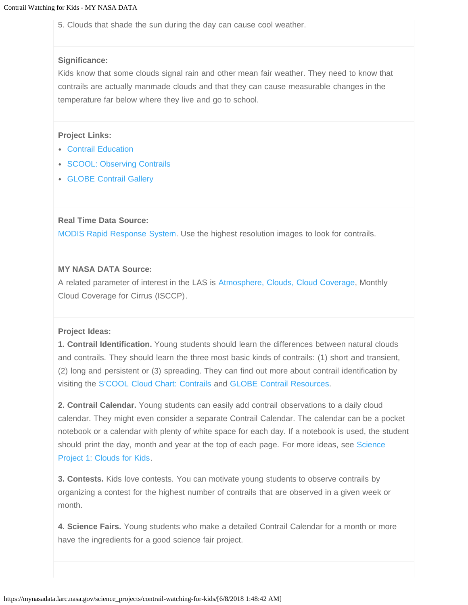5. Clouds that shade the [sun](https://mynasadata.larc.nasa.gov/glossary/sun-2/) during the day can cause cool [weather.](https://mynasadata.larc.nasa.gov/glossary/weather-2/)

#### **Significance:**

Kids know that some clouds signal rain and other mean fair weather. They need to know that contrails are actually manmade clouds and that they can cause measurable changes in the temperature far below where they live and go to school.

#### **Project Links:**

- [Contrail Education](http://science-edu.larc.nasa.gov/contrail-edu/)
- [SCOOL: Observing Contrails](http://science-edu.larc.nasa.gov/contrail-edu/contrails/)
- [GLOBE Contrail Gallery](http://science-edu.larc.nasa.gov/contrail-edu/contrails/)

#### **Real Time Data Source:**

[MODIS Rapid Response System.](http://rapidfire.sci.gsfc.nasa.gov/realtime/) Use the highest [resolution](https://mynasadata.larc.nasa.gov/glossary/resolution-2/) images to look for contrails.

#### **MY [NASA](https://mynasadata.larc.nasa.gov/glossary/nasa-2/) DATA Source:**

A related [parameter](https://mynasadata.larc.nasa.gov/glossary/parameter-2/) of interest in the LAS is [Atmosphere, Clouds, Cloud Coverage,](https://mynasadata.larc.nasa.gov/las/getUI.do) [Monthly](https://mynasadata.larc.nasa.gov/glossary/monthly-cloud-coverage-for-cirrus-isccp-2/) [Cloud Coverage for Cirrus \(ISCCP\).](https://mynasadata.larc.nasa.gov/glossary/monthly-cloud-coverage-for-cirrus-isccp-2/)

#### **Project Ideas:**

**1. Contrail Identification.** Young students should learn the differences between natural clouds and contrails. They should learn the three most basic kinds of contrails: (1) short and transient, (2) long and persistent or (3) spreading. They can find out more about contrail identification by visiting the [S'COOL Cloud Chart: Contrails](http://asd-www.larc.nasa.gov/cgi-bin/SCOOL_Clouds/Contrails/list.cgi) and [GLOBE Contrail Resources.](http://science-edu.larc.nasa.gov/contrail-edu/resources/)

**2. Contrail Calendar.** Young students can easily add contrail observations to a daily [cloud](https://mynasadata.larc.nasa.gov/glossary/cloud-2/) calendar. They might even consider a separate Contrail Calendar. The calendar can be a pocket notebook or a calendar with plenty of white space for each day. If a notebook is used, the student should print the day, month and year at the top of each page. For more ideas, see [Science](https://mynasadata.larc.nasa.gov/science_projects/contrail-watching-for-kids/?page_id=815) [Project 1: Clouds for Kids.](https://mynasadata.larc.nasa.gov/science_projects/contrail-watching-for-kids/?page_id=815)

**3. Contests.** Kids love contests. You can motivate young students to observe contrails by organizing a contest for the highest number of contrails that are observed in a given week or month.

**4. Science Fairs.** Young students who make a detailed Contrail Calendar for a month or more have the ingredients for a good science fair project.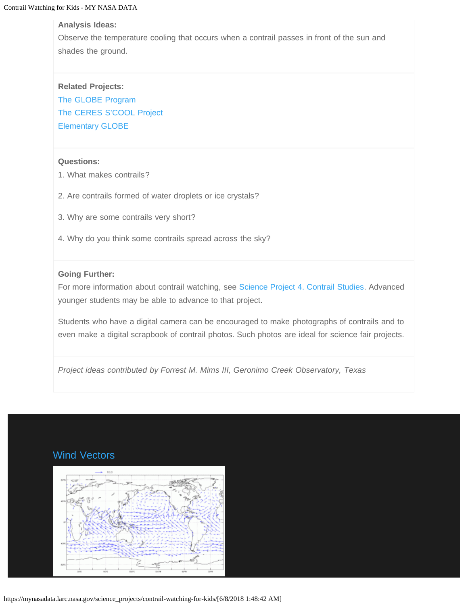#### **Analysis Ideas:**

Observe the temperature cooling that occurs when a contrail passes in [front](https://mynasadata.larc.nasa.gov/glossary/front-2/) of the sun and shades the ground.

**Related Projects:** [The GLOBE Program](http://science-edu.larc.nasa.gov/contrail-edu/)  [The CERES S'COOL Project](http://science-edu.larc.nasa.gov/SCOOL/)  [Elementary GLOBE](http://classic.globe.gov/fsl/html/templ.cgi?elemGLOBE&lang=en&nav=1)

#### **Questions:**

- 1. What makes contrails?
- 2. Are contrails formed of water droplets or ice crystals?
- 3. Why are some contrails very short?
- 4. Why do you think some contrails spread across the sky?

#### **Going Further:**

For more information about contrail watching, see [Science Project 4. Contrail Studies.](https://mynasadata.larc.nasa.gov/science_projects/contrail-watching-for-kids/?page_id=825) Advanced younger students may be able to advance to that project.

Students who have a digital camera can be encouraged to make photographs of contrails and to even make a digital scrapbook of contrail photos. Such photos are ideal for science fair projects.

*Project ideas contributed by Forrest M. Mims III, Geronimo Creek Observatory, Texas*

### Wind Vectors

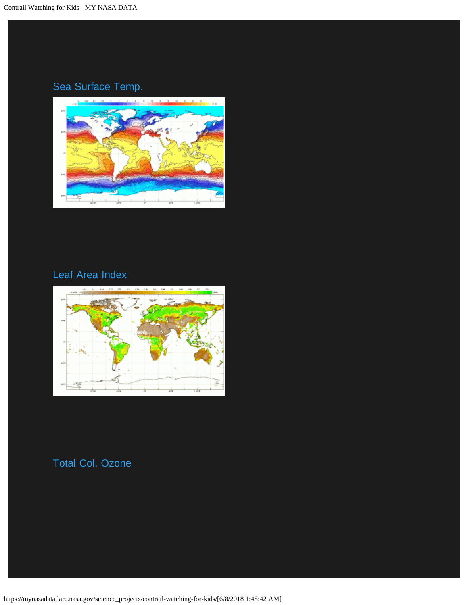## Sea Surface Temp.



### Leaf Area Index



### Total Col. Ozone

https://mynasadata.larc.nasa.gov/science\_projects/contrail-watching-for-kids/[6/8/2018 1:48:42 AM]